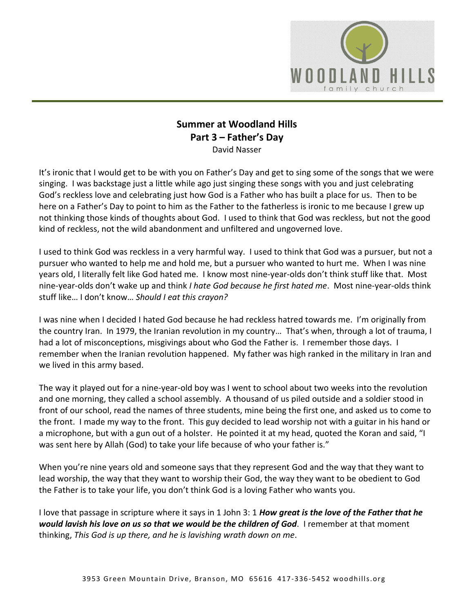

## **Summer at Woodland Hills Part 3 – Father's Day**  David Nasser

It's ironic that I would get to be with you on Father's Day and get to sing some of the songs that we were singing. I was backstage just a little while ago just singing these songs with you and just celebrating God's reckless love and celebrating just how God is a Father who has built a place for us. Then to be here on a Father's Day to point to him as the Father to the fatherless is ironic to me because I grew up not thinking those kinds of thoughts about God. I used to think that God was reckless, but not the good kind of reckless, not the wild abandonment and unfiltered and ungoverned love.

I used to think God was reckless in a very harmful way. I used to think that God was a pursuer, but not a pursuer who wanted to help me and hold me, but a pursuer who wanted to hurt me. When I was nine years old, I literally felt like God hated me. I know most nine-year-olds don't think stuff like that. Most nine-year-olds don't wake up and think *I hate God because he first hated me*. Most nine-year-olds think stuff like… I don't know… *Should I eat this crayon?*

I was nine when I decided I hated God because he had reckless hatred towards me. I'm originally from the country Iran. In 1979, the Iranian revolution in my country… That's when, through a lot of trauma, I had a lot of misconceptions, misgivings about who God the Father is. I remember those days. I remember when the Iranian revolution happened. My father was high ranked in the military in Iran and we lived in this army based.

The way it played out for a nine-year-old boy was I went to school about two weeks into the revolution and one morning, they called a school assembly. A thousand of us piled outside and a soldier stood in front of our school, read the names of three students, mine being the first one, and asked us to come to the front. I made my way to the front. This guy decided to lead worship not with a guitar in his hand or a microphone, but with a gun out of a holster. He pointed it at my head, quoted the Koran and said, "I was sent here by Allah (God) to take your life because of who your father is."

When you're nine years old and someone says that they represent God and the way that they want to lead worship, the way that they want to worship their God, the way they want to be obedient to God the Father is to take your life, you don't think God is a loving Father who wants you.

I love that passage in scripture where it says in 1 John 3: 1 *How great is the love of the Father that he would lavish his love on us so that we would be the children of God*. I remember at that moment thinking, *This God is up there, and he is lavishing wrath down on me*.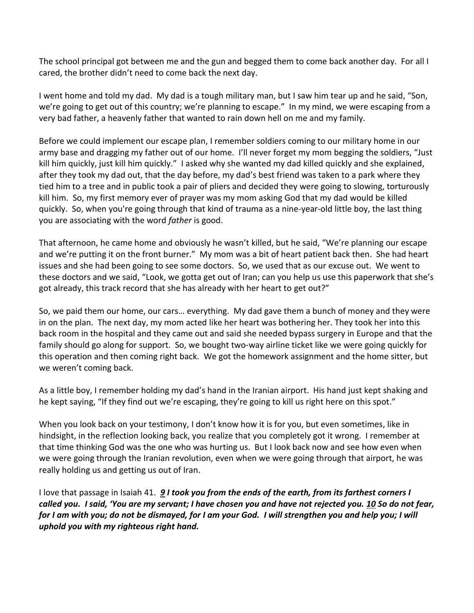The school principal got between me and the gun and begged them to come back another day. For all I cared, the brother didn't need to come back the next day.

I went home and told my dad. My dad is a tough military man, but I saw him tear up and he said, "Son, we're going to get out of this country; we're planning to escape." In my mind, we were escaping from a very bad father, a heavenly father that wanted to rain down hell on me and my family.

Before we could implement our escape plan, I remember soldiers coming to our military home in our army base and dragging my father out of our home. I'll never forget my mom begging the soldiers, "Just kill him quickly, just kill him quickly." I asked why she wanted my dad killed quickly and she explained, after they took my dad out, that the day before, my dad's best friend was taken to a park where they tied him to a tree and in public took a pair of pliers and decided they were going to slowing, torturously kill him. So, my first memory ever of prayer was my mom asking God that my dad would be killed quickly. So, when you're going through that kind of trauma as a nine-year-old little boy, the last thing you are associating with the word *father* is good.

That afternoon, he came home and obviously he wasn't killed, but he said, "We're planning our escape and we're putting it on the front burner." My mom was a bit of heart patient back then. She had heart issues and she had been going to see some doctors. So, we used that as our excuse out. We went to these doctors and we said, "Look, we gotta get out of Iran; can you help us use this paperwork that she's got already, this track record that she has already with her heart to get out?"

So, we paid them our home, our cars… everything. My dad gave them a bunch of money and they were in on the plan. The next day, my mom acted like her heart was bothering her. They took her into this back room in the hospital and they came out and said she needed bypass surgery in Europe and that the family should go along for support. So, we bought two-way airline ticket like we were going quickly for this operation and then coming right back. We got the homework assignment and the home sitter, but we weren't coming back.

As a little boy, I remember holding my dad's hand in the Iranian airport. His hand just kept shaking and he kept saying, "If they find out we're escaping, they're going to kill us right here on this spot."

When you look back on your testimony, I don't know how it is for you, but even sometimes, like in hindsight, in the reflection looking back, you realize that you completely got it wrong. I remember at that time thinking God was the one who was hurting us. But I look back now and see how even when we were going through the Iranian revolution, even when we were going through that airport, he was really holding us and getting us out of Iran.

I love that passage in Isaiah 41. *[9](https://www.studylight.org/desk/?q=isa%2041:9&t1=en_niv&sr=1) I took you from the ends of the earth, from its farthest corners I called you. I said, 'You are my servant; I have chosen you and have not rejected you. [10](https://www.studylight.org/desk/?q=isa%2041:10&t1=en_niv&sr=1) So do not fear, for I am with you; do not be dismayed, for I am your God. I will strengthen you and help you; I will uphold you with my righteous right hand.*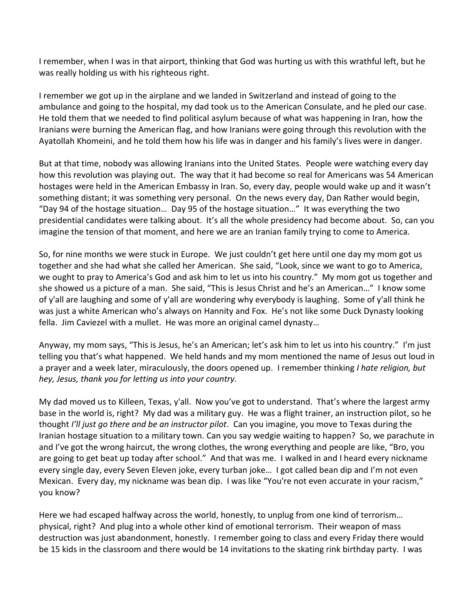I remember, when I was in that airport, thinking that God was hurting us with this wrathful left, but he was really holding us with his righteous right.

I remember we got up in the airplane and we landed in Switzerland and instead of going to the ambulance and going to the hospital, my dad took us to the American Consulate, and he pled our case. He told them that we needed to find political asylum because of what was happening in Iran, how the Iranians were burning the American flag, and how Iranians were going through this revolution with the Ayatollah Khomeini, and he told them how his life was in danger and his family's lives were in danger.

But at that time, nobody was allowing Iranians into the United States. People were watching every day how this revolution was playing out. The way that it had become so real for Americans was 54 American hostages were held in the American Embassy in Iran. So, every day, people would wake up and it wasn't something distant; it was something very personal. On the news every day, Dan Rather would begin, "Day 94 of the hostage situation… Day 95 of the hostage situation…" It was everything the two presidential candidates were talking about. It's all the whole presidency had become about. So, can you imagine the tension of that moment, and here we are an Iranian family trying to come to America.

So, for nine months we were stuck in Europe. We just couldn't get here until one day my mom got us together and she had what she called her American. She said, "Look, since we want to go to America, we ought to pray to America's God and ask him to let us into his country." My mom got us together and she showed us a picture of a man. She said, "This is Jesus Christ and he's an American…" I know some of y'all are laughing and some of y'all are wondering why everybody is laughing. Some of y'all think he was just a white American who's always on Hannity and Fox. He's not like some Duck Dynasty looking fella. Jim Caviezel with a mullet. He was more an original camel dynasty…

Anyway, my mom says, "This is Jesus, he's an American; let's ask him to let us into his country." I'm just telling you that's what happened. We held hands and my mom mentioned the name of Jesus out loud in a prayer and a week later, miraculously, the doors opened up. I remember thinking *I hate religion, but hey, Jesus, thank you for letting us into your country.*

My dad moved us to Killeen, Texas, y'all. Now you've got to understand. That's where the largest army base in the world is, right? My dad was a military guy. He was a flight trainer, an instruction pilot, so he thought *I'll just go there and be an instructor pilot*. Can you imagine, you move to Texas during the Iranian hostage situation to a military town. Can you say wedgie waiting to happen? So, we parachute in and I've got the wrong haircut, the wrong clothes, the wrong everything and people are like, "Bro, you are going to get beat up today after school." And that was me. I walked in and I heard every nickname every single day, every Seven Eleven joke, every turban joke… I got called bean dip and I'm not even Mexican. Every day, my nickname was bean dip. I was like "You're not even accurate in your racism," you know?

Here we had escaped halfway across the world, honestly, to unplug from one kind of terrorism… physical, right? And plug into a whole other kind of emotional terrorism. Their weapon of mass destruction was just abandonment, honestly. I remember going to class and every Friday there would be 15 kids in the classroom and there would be 14 invitations to the skating rink birthday party. I was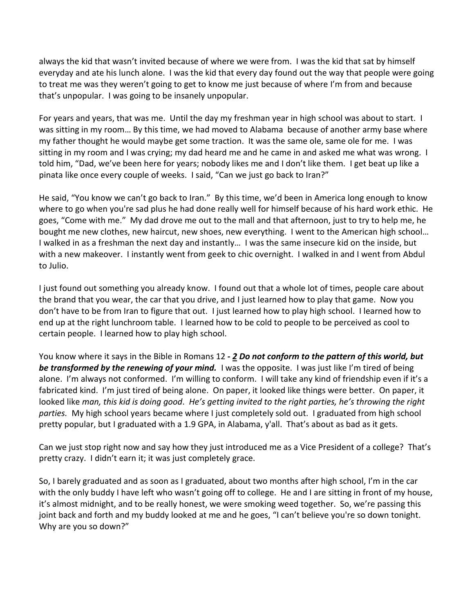always the kid that wasn't invited because of where we were from. I was the kid that sat by himself everyday and ate his lunch alone. I was the kid that every day found out the way that people were going to treat me was they weren't going to get to know me just because of where I'm from and because that's unpopular. I was going to be insanely unpopular.

For years and years, that was me. Until the day my freshman year in high school was about to start. I was sitting in my room… By this time, we had moved to Alabama because of another army base where my father thought he would maybe get some traction. It was the same ole, same ole for me. I was sitting in my room and I was crying; my dad heard me and he came in and asked me what was wrong. I told him, "Dad, we've been here for years; nobody likes me and I don't like them. I get beat up like a pinata like once every couple of weeks. I said, "Can we just go back to Iran?"

He said, "You know we can't go back to Iran." By this time, we'd been in America long enough to know where to go when you're sad plus he had done really well for himself because of his hard work ethic. He goes, "Come with me." My dad drove me out to the mall and that afternoon, just to try to help me, he bought me new clothes, new haircut, new shoes, new everything. I went to the American high school… I walked in as a freshman the next day and instantly… I was the same insecure kid on the inside, but with a new makeover. I instantly went from geek to chic overnight. I walked in and I went from Abdul to Julio.

I just found out something you already know. I found out that a whole lot of times, people care about the brand that you wear, the car that you drive, and I just learned how to play that game. Now you don't have to be from Iran to figure that out. I just learned how to play high school. I learned how to end up at the right lunchroom table. I learned how to be cold to people to be perceived as cool to certain people. I learned how to play high school.

You know where it says in the Bible in Romans 12 *- [2](https://www.studylight.org/desk/?q=ro%2012:2&t1=en_niv&sr=1) Do not conform to the pattern of this world, but*  **be transformed by the renewing of your mind.** I was the opposite. I was just like I'm tired of being alone. I'm always not conformed. I'm willing to conform. I will take any kind of friendship even if it's a fabricated kind. I'm just tired of being alone. On paper, it looked like things were better. On paper, it looked like *man, this kid is doing good*. *He's getting invited to the right parties, he's throwing the right parties.* My high school years became where I just completely sold out. I graduated from high school pretty popular, but I graduated with a 1.9 GPA, in Alabama, y'all. That's about as bad as it gets.

Can we just stop right now and say how they just introduced me as a Vice President of a college? That's pretty crazy. I didn't earn it; it was just completely grace.

So, I barely graduated and as soon as I graduated, about two months after high school, I'm in the car with the only buddy I have left who wasn't going off to college. He and I are sitting in front of my house, it's almost midnight, and to be really honest, we were smoking weed together. So, we're passing this joint back and forth and my buddy looked at me and he goes, "I can't believe you're so down tonight. Why are you so down?"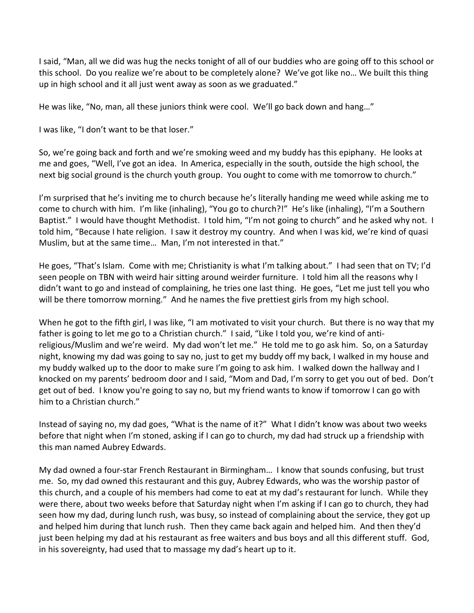I said, "Man, all we did was hug the necks tonight of all of our buddies who are going off to this school or this school. Do you realize we're about to be completely alone? We've got like no… We built this thing up in high school and it all just went away as soon as we graduated."

He was like, "No, man, all these juniors think were cool. We'll go back down and hang…"

I was like, "I don't want to be that loser."

So, we're going back and forth and we're smoking weed and my buddy has this epiphany. He looks at me and goes, "Well, I've got an idea. In America, especially in the south, outside the high school, the next big social ground is the church youth group. You ought to come with me tomorrow to church."

I'm surprised that he's inviting me to church because he's literally handing me weed while asking me to come to church with him. I'm like (inhaling), "You go to church?!" He's like (inhaling), "I'm a Southern Baptist." I would have thought Methodist. I told him, "I'm not going to church" and he asked why not. I told him, "Because I hate religion. I saw it destroy my country. And when I was kid, we're kind of quasi Muslim, but at the same time… Man, I'm not interested in that."

He goes, "That's Islam. Come with me; Christianity is what I'm talking about." I had seen that on TV; I'd seen people on TBN with weird hair sitting around weirder furniture. I told him all the reasons why I didn't want to go and instead of complaining, he tries one last thing. He goes, "Let me just tell you who will be there tomorrow morning." And he names the five prettiest girls from my high school.

When he got to the fifth girl, I was like, "I am motivated to visit your church. But there is no way that my father is going to let me go to a Christian church." I said, "Like I told you, we're kind of antireligious/Muslim and we're weird. My dad won't let me." He told me to go ask him. So, on a Saturday night, knowing my dad was going to say no, just to get my buddy off my back, I walked in my house and my buddy walked up to the door to make sure I'm going to ask him. I walked down the hallway and I knocked on my parents' bedroom door and I said, "Mom and Dad, I'm sorry to get you out of bed. Don't get out of bed. I know you're going to say no, but my friend wants to know if tomorrow I can go with him to a Christian church."

Instead of saying no, my dad goes, "What is the name of it?" What I didn't know was about two weeks before that night when I'm stoned, asking if I can go to church, my dad had struck up a friendship with this man named Aubrey Edwards.

My dad owned a four-star French Restaurant in Birmingham… I know that sounds confusing, but trust me. So, my dad owned this restaurant and this guy, Aubrey Edwards, who was the worship pastor of this church, and a couple of his members had come to eat at my dad's restaurant for lunch. While they were there, about two weeks before that Saturday night when I'm asking if I can go to church, they had seen how my dad, during lunch rush, was busy, so instead of complaining about the service, they got up and helped him during that lunch rush. Then they came back again and helped him. And then they'd just been helping my dad at his restaurant as free waiters and bus boys and all this different stuff. God, in his sovereignty, had used that to massage my dad's heart up to it.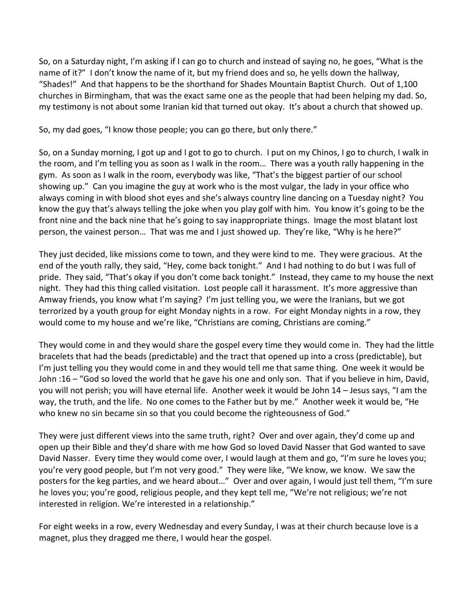So, on a Saturday night, I'm asking if I can go to church and instead of saying no, he goes, "What is the name of it?" I don't know the name of it, but my friend does and so, he yells down the hallway, "Shades!" And that happens to be the shorthand for Shades Mountain Baptist Church. Out of 1,100 churches in Birmingham, that was the exact same one as the people that had been helping my dad. So, my testimony is not about some Iranian kid that turned out okay. It's about a church that showed up.

So, my dad goes, "I know those people; you can go there, but only there."

So, on a Sunday morning, I got up and I got to go to church. I put on my Chinos, I go to church, I walk in the room, and I'm telling you as soon as I walk in the room… There was a youth rally happening in the gym. As soon as I walk in the room, everybody was like, "That's the biggest partier of our school showing up." Can you imagine the guy at work who is the most vulgar, the lady in your office who always coming in with blood shot eyes and she's always country line dancing on a Tuesday night? You know the guy that's always telling the joke when you play golf with him. You know it's going to be the front nine and the back nine that he's going to say inappropriate things. Image the most blatant lost person, the vainest person… That was me and I just showed up. They're like, "Why is he here?"

They just decided, like missions come to town, and they were kind to me. They were gracious. At the end of the youth rally, they said, "Hey, come back tonight." And I had nothing to do but I was full of pride. They said, "That's okay if you don't come back tonight." Instead, they came to my house the next night. They had this thing called visitation. Lost people call it harassment. It's more aggressive than Amway friends, you know what I'm saying? I'm just telling you, we were the Iranians, but we got terrorized by a youth group for eight Monday nights in a row. For eight Monday nights in a row, they would come to my house and we're like, "Christians are coming, Christians are coming."

They would come in and they would share the gospel every time they would come in. They had the little bracelets that had the beads (predictable) and the tract that opened up into a cross (predictable), but I'm just telling you they would come in and they would tell me that same thing. One week it would be John :16 – "God so loved the world that he gave his one and only son. That if you believe in him, David, you will not perish; you will have eternal life. Another week it would be John 14 – Jesus says, "I am the way, the truth, and the life. No one comes to the Father but by me." Another week it would be, "He who knew no sin became sin so that you could become the righteousness of God."

They were just different views into the same truth, right? Over and over again, they'd come up and open up their Bible and they'd share with me how God so loved David Nasser that God wanted to save David Nasser. Every time they would come over, I would laugh at them and go, "I'm sure he loves you; you're very good people, but I'm not very good." They were like, "We know, we know. We saw the posters for the keg parties, and we heard about…" Over and over again, I would just tell them, "I'm sure he loves you; you're good, religious people, and they kept tell me, "We're not religious; we're not interested in religion. We're interested in a relationship."

For eight weeks in a row, every Wednesday and every Sunday, I was at their church because love is a magnet, plus they dragged me there, I would hear the gospel.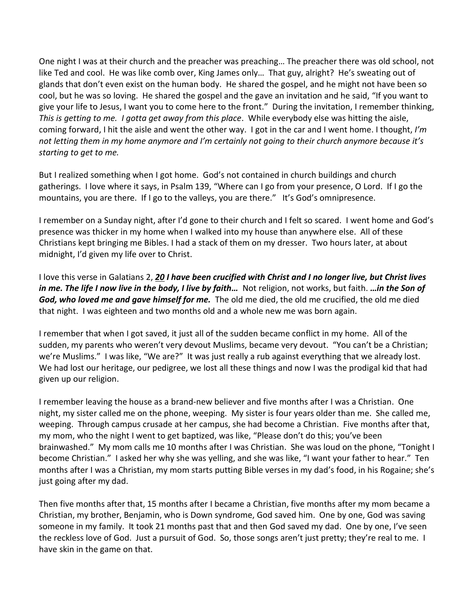One night I was at their church and the preacher was preaching… The preacher there was old school, not like Ted and cool. He was like comb over, King James only… That guy, alright? He's sweating out of glands that don't even exist on the human body. He shared the gospel, and he might not have been so cool, but he was so loving. He shared the gospel and the gave an invitation and he said, "If you want to give your life to Jesus, I want you to come here to the front." During the invitation, I remember thinking, *This is getting to me. I gotta get away from this place*. While everybody else was hitting the aisle, coming forward, I hit the aisle and went the other way. I got in the car and I went home. I thought, *I'm not letting them in my home anymore and I'm certainly not going to their church anymore because it's starting to get to me.*

But I realized something when I got home. God's not contained in church buildings and church gatherings. I love where it says, in Psalm 139, "Where can I go from your presence, O Lord. If I go the mountains, you are there. If I go to the valleys, you are there." It's God's omnipresence.

I remember on a Sunday night, after I'd gone to their church and I felt so scared. I went home and God's presence was thicker in my home when I walked into my house than anywhere else. All of these Christians kept bringing me Bibles. I had a stack of them on my dresser. Two hours later, at about midnight, I'd given my life over to Christ.

I love this verse in Galatians 2, *[20](https://www.studylight.org/desk/?q=ga%202:20&t1=en_niv&sr=1) I have been crucified with Christ and I no longer live, but Christ lives in me. The life I now live in the body, I live by faith…* Not religion, not works, but faith. *…in the Son of God, who loved me and gave himself for me.* The old me died, the old me crucified, the old me died that night. I was eighteen and two months old and a whole new me was born again.

I remember that when I got saved, it just all of the sudden became conflict in my home. All of the sudden, my parents who weren't very devout Muslims, became very devout. "You can't be a Christian; we're Muslims." I was like, "We are?" It was just really a rub against everything that we already lost. We had lost our heritage, our pedigree, we lost all these things and now I was the prodigal kid that had given up our religion.

I remember leaving the house as a brand-new believer and five months after I was a Christian. One night, my sister called me on the phone, weeping. My sister is four years older than me. She called me, weeping. Through campus crusade at her campus, she had become a Christian. Five months after that, my mom, who the night I went to get baptized, was like, "Please don't do this; you've been brainwashed." My mom calls me 10 months after I was Christian. She was loud on the phone, "Tonight I become Christian." I asked her why she was yelling, and she was like, "I want your father to hear." Ten months after I was a Christian, my mom starts putting Bible verses in my dad's food, in his Rogaine; she's just going after my dad.

Then five months after that, 15 months after I became a Christian, five months after my mom became a Christian, my brother, Benjamin, who is Down syndrome, God saved him. One by one, God was saving someone in my family. It took 21 months past that and then God saved my dad. One by one, I've seen the reckless love of God. Just a pursuit of God. So, those songs aren't just pretty; they're real to me. I have skin in the game on that.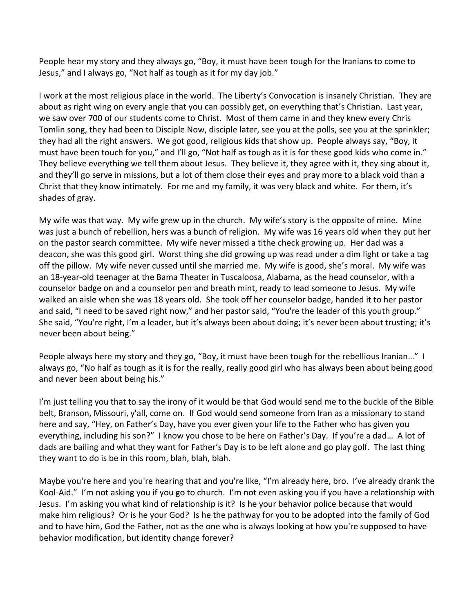People hear my story and they always go, "Boy, it must have been tough for the Iranians to come to Jesus," and I always go, "Not half as tough as it for my day job."

I work at the most religious place in the world. The Liberty's Convocation is insanely Christian. They are about as right wing on every angle that you can possibly get, on everything that's Christian. Last year, we saw over 700 of our students come to Christ. Most of them came in and they knew every Chris Tomlin song, they had been to Disciple Now, disciple later, see you at the polls, see you at the sprinkler; they had all the right answers. We got good, religious kids that show up. People always say, "Boy, it must have been touch for you," and I'll go, "Not half as tough as it is for these good kids who come in." They believe everything we tell them about Jesus. They believe it, they agree with it, they sing about it, and they'll go serve in missions, but a lot of them close their eyes and pray more to a black void than a Christ that they know intimately. For me and my family, it was very black and white. For them, it's shades of gray.

My wife was that way. My wife grew up in the church. My wife's story is the opposite of mine. Mine was just a bunch of rebellion, hers was a bunch of religion. My wife was 16 years old when they put her on the pastor search committee. My wife never missed a tithe check growing up. Her dad was a deacon, she was this good girl. Worst thing she did growing up was read under a dim light or take a tag off the pillow. My wife never cussed until she married me. My wife is good, she's moral. My wife was an 18-year-old teenager at the Bama Theater in Tuscaloosa, Alabama, as the head counselor, with a counselor badge on and a counselor pen and breath mint, ready to lead someone to Jesus. My wife walked an aisle when she was 18 years old. She took off her counselor badge, handed it to her pastor and said, "I need to be saved right now," and her pastor said, "You're the leader of this youth group." She said, "You're right, I'm a leader, but it's always been about doing; it's never been about trusting; it's never been about being."

People always here my story and they go, "Boy, it must have been tough for the rebellious Iranian…" I always go, "No half as tough as it is for the really, really good girl who has always been about being good and never been about being his."

I'm just telling you that to say the irony of it would be that God would send me to the buckle of the Bible belt, Branson, Missouri, y'all, come on. If God would send someone from Iran as a missionary to stand here and say, "Hey, on Father's Day, have you ever given your life to the Father who has given you everything, including his son?" I know you chose to be here on Father's Day. If you're a dad… A lot of dads are bailing and what they want for Father's Day is to be left alone and go play golf. The last thing they want to do is be in this room, blah, blah, blah.

Maybe you're here and you're hearing that and you're like, "I'm already here, bro. I've already drank the Kool-Aid." I'm not asking you if you go to church. I'm not even asking you if you have a relationship with Jesus. I'm asking you what kind of relationship is it? Is he your behavior police because that would make him religious? Or is he your God? Is he the pathway for you to be adopted into the family of God and to have him, God the Father, not as the one who is always looking at how you're supposed to have behavior modification, but identity change forever?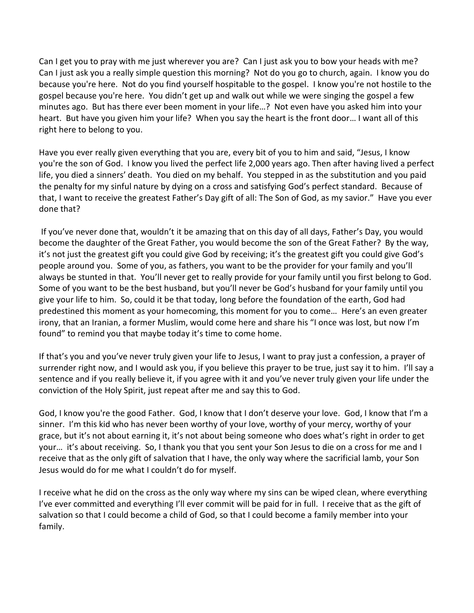Can I get you to pray with me just wherever you are? Can I just ask you to bow your heads with me? Can I just ask you a really simple question this morning? Not do you go to church, again. I know you do because you're here. Not do you find yourself hospitable to the gospel. I know you're not hostile to the gospel because you're here. You didn't get up and walk out while we were singing the gospel a few minutes ago. But has there ever been moment in your life…? Not even have you asked him into your heart. But have you given him your life? When you say the heart is the front door… I want all of this right here to belong to you.

Have you ever really given everything that you are, every bit of you to him and said, "Jesus, I know you're the son of God. I know you lived the perfect life 2,000 years ago. Then after having lived a perfect life, you died a sinners' death. You died on my behalf. You stepped in as the substitution and you paid the penalty for my sinful nature by dying on a cross and satisfying God's perfect standard. Because of that, I want to receive the greatest Father's Day gift of all: The Son of God, as my savior." Have you ever done that?

 If you've never done that, wouldn't it be amazing that on this day of all days, Father's Day, you would become the daughter of the Great Father, you would become the son of the Great Father? By the way, it's not just the greatest gift you could give God by receiving; it's the greatest gift you could give God's people around you. Some of you, as fathers, you want to be the provider for your family and you'll always be stunted in that. You'll never get to really provide for your family until you first belong to God. Some of you want to be the best husband, but you'll never be God's husband for your family until you give your life to him. So, could it be that today, long before the foundation of the earth, God had predestined this moment as your homecoming, this moment for you to come… Here's an even greater irony, that an Iranian, a former Muslim, would come here and share his "I once was lost, but now I'm found" to remind you that maybe today it's time to come home.

If that's you and you've never truly given your life to Jesus, I want to pray just a confession, a prayer of surrender right now, and I would ask you, if you believe this prayer to be true, just say it to him. I'll say a sentence and if you really believe it, if you agree with it and you've never truly given your life under the conviction of the Holy Spirit, just repeat after me and say this to God.

God, I know you're the good Father. God, I know that I don't deserve your love. God, I know that I'm a sinner. I'm this kid who has never been worthy of your love, worthy of your mercy, worthy of your grace, but it's not about earning it, it's not about being someone who does what's right in order to get your… it's about receiving. So, I thank you that you sent your Son Jesus to die on a cross for me and I receive that as the only gift of salvation that I have, the only way where the sacrificial lamb, your Son Jesus would do for me what I couldn't do for myself.

I receive what he did on the cross as the only way where my sins can be wiped clean, where everything I've ever committed and everything I'll ever commit will be paid for in full. I receive that as the gift of salvation so that I could become a child of God, so that I could become a family member into your family.